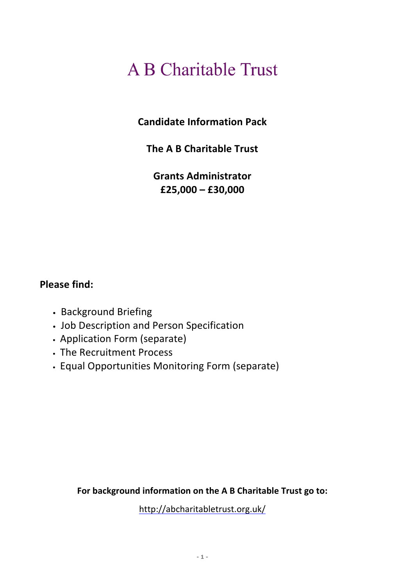# **A B Charitable Trust**

**Candidate Information Pack**

**The A B Charitable Trust**

**Grants Administrator £25,000 – £30,000**

# **Please find:**

- Background Briefing
- Job Description and Person Specification
- Application Form (separate)
- The Recruitment Process
- Equal Opportunities Monitoring Form (separate)

**For background information on the A B Charitable Trust go to:**

http://abcharitabletrust.org.uk/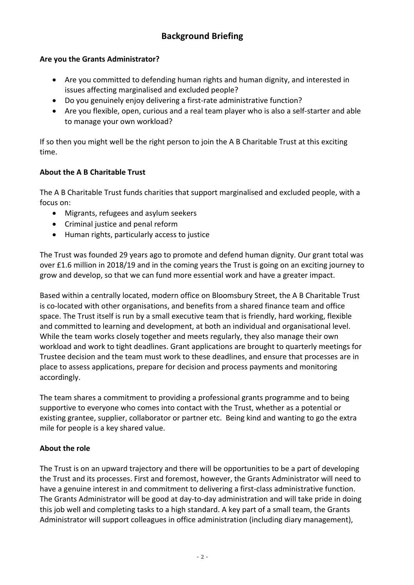# **Are you the Grants Administrator?**

- Are you committed to defending human rights and human dignity, and interested in issues affecting marginalised and excluded people?
- Do you genuinely enjoy delivering a first-rate administrative function?
- Are you flexible, open, curious and a real team player who is also a self-starter and able to manage your own workload?

If so then you might well be the right person to join the A B Charitable Trust at this exciting time.

# **About the A B Charitable Trust**

The A B Charitable Trust funds charities that support marginalised and excluded people, with a focus on:

- Migrants, refugees and asylum seekers
- Criminal justice and penal reform
- Human rights, particularly access to justice

The Trust was founded 29 years ago to promote and defend human dignity. Our grant total was over £1.6 million in 2018/19 and in the coming years the Trust is going on an exciting journey to grow and develop, so that we can fund more essential work and have a greater impact.

Based within a centrally located, modern office on Bloomsbury Street, the A B Charitable Trust is co-located with other organisations, and benefits from a shared finance team and office space. The Trust itself is run by a small executive team that is friendly, hard working, flexible and committed to learning and development, at both an individual and organisational level. While the team works closely together and meets regularly, they also manage their own workload and work to tight deadlines. Grant applications are brought to quarterly meetings for Trustee decision and the team must work to these deadlines, and ensure that processes are in place to assess applications, prepare for decision and process payments and monitoring accordingly.

The team shares a commitment to providing a professional grants programme and to being supportive to everyone who comes into contact with the Trust, whether as a potential or existing grantee, supplier, collaborator or partner etc. Being kind and wanting to go the extra mile for people is a key shared value.

# **About the role**

The Trust is on an upward trajectory and there will be opportunities to be a part of developing the Trust and its processes. First and foremost, however, the Grants Administrator will need to have a genuine interest in and commitment to delivering a first-class administrative function. The Grants Administrator will be good at day-to-day administration and will take pride in doing this job well and completing tasks to a high standard. A key part of a small team, the Grants Administrator will support colleagues in office administration (including diary management),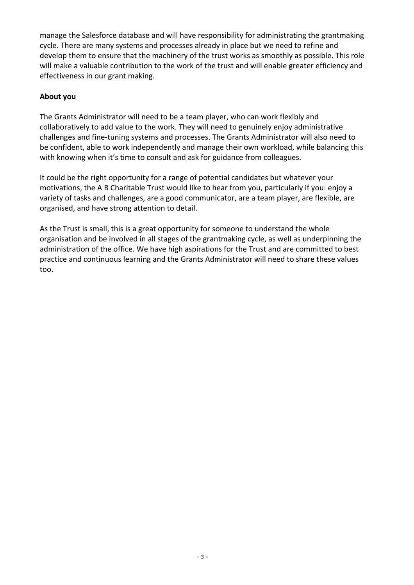manage the Salesforce database and will have responsibility for administrating the grantmaking cycle. There are many systems and processes already in place but we need to refine and develop them to ensure that the machinery of the trust works as smoothly as possible. This role will make a valuable contribution to the work of the trust and will enable greater efficiency and effectiveness in our grant making.

## **About you**

The Grants Administrator will need to be a team player, who can work flexibly and collaboratively to add value to the work. They will need to genuinely enjoy administrative challenges and fine-tuning systems and processes. The Grants Administrator will also need to be confident, able to work independently and manage their own workload, while balancing this with knowing when it's time to consult and ask for guidance from colleagues.

It could be the right opportunity for a range of potential candidates but whatever your motivations, the A B Charitable Trust would like to hear from you, particularly if you: enjoy a variety of tasks and challenges, are a good communicator, are a team player, are flexible, are organised, and have strong attention to detail.

As the Trust is small, this is a great opportunity for someone to understand the whole organisation and be involved in all stages of the grantmaking cycle, as well as underpinning the administration of the office. We have high aspirations for the Trust and are committed to best practice and continuous learning and the Grants Administrator will need to share these values too.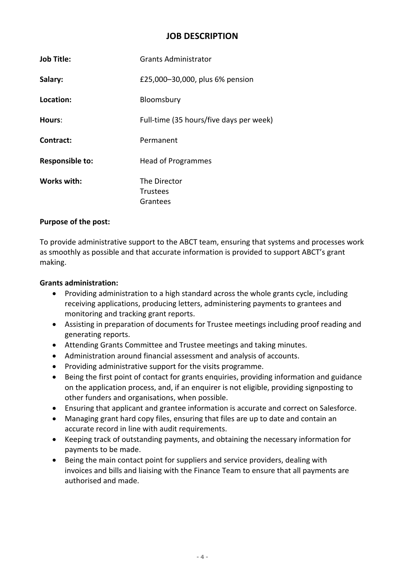## **JOB DESCRIPTION**

| <b>Job Title:</b>      | <b>Grants Administrator</b>                 |
|------------------------|---------------------------------------------|
| Salary:                | £25,000-30,000, plus 6% pension             |
| Location:              | Bloomsbury                                  |
| Hours:                 | Full-time (35 hours/five days per week)     |
| Contract:              | Permanent                                   |
| <b>Responsible to:</b> | <b>Head of Programmes</b>                   |
| Works with:            | The Director<br><b>Trustees</b><br>Grantees |

#### **Purpose of the post:**

To provide administrative support to the ABCT team, ensuring that systems and processes work as smoothly as possible and that accurate information is provided to support ABCT's grant making.

#### **Grants administration:**

- Providing administration to a high standard across the whole grants cycle, including receiving applications, producing letters, administering payments to grantees and monitoring and tracking grant reports.
- Assisting in preparation of documents for Trustee meetings including proof reading and generating reports.
- Attending Grants Committee and Trustee meetings and taking minutes.
- Administration around financial assessment and analysis of accounts.
- Providing administrative support for the visits programme.
- Being the first point of contact for grants enquiries, providing information and guidance on the application process, and, if an enquirer is not eligible, providing signposting to other funders and organisations, when possible.
- Ensuring that applicant and grantee information is accurate and correct on Salesforce.
- Managing grant hard copy files, ensuring that files are up to date and contain an accurate record in line with audit requirements.
- Keeping track of outstanding payments, and obtaining the necessary information for payments to be made.
- Being the main contact point for suppliers and service providers, dealing with invoices and bills and liaising with the Finance Team to ensure that all payments are authorised and made.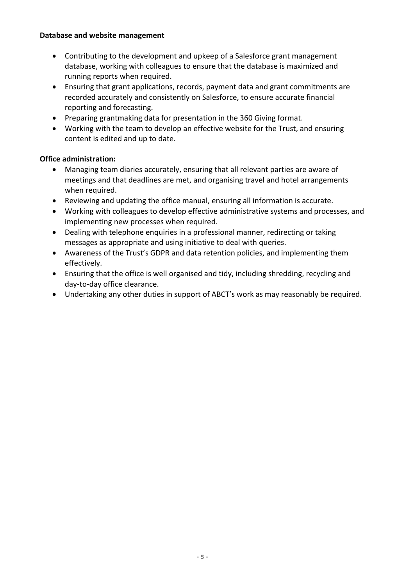#### **Database and website management**

- Contributing to the development and upkeep of a Salesforce grant management database, working with colleagues to ensure that the database is maximized and running reports when required.
- Ensuring that grant applications, records, payment data and grant commitments are recorded accurately and consistently on Salesforce, to ensure accurate financial reporting and forecasting.
- Preparing grantmaking data for presentation in the 360 Giving format.
- Working with the team to develop an effective website for the Trust, and ensuring content is edited and up to date.

## **Office administration:**

- Managing team diaries accurately, ensuring that all relevant parties are aware of meetings and that deadlines are met, and organising travel and hotel arrangements when required.
- Reviewing and updating the office manual, ensuring all information is accurate.
- Working with colleagues to develop effective administrative systems and processes, and implementing new processes when required.
- Dealing with telephone enquiries in a professional manner, redirecting or taking messages as appropriate and using initiative to deal with queries.
- Awareness of the Trust's GDPR and data retention policies, and implementing them effectively.
- Ensuring that the office is well organised and tidy, including shredding, recycling and day-to-day office clearance.
- Undertaking any other duties in support of ABCT's work as may reasonably be required.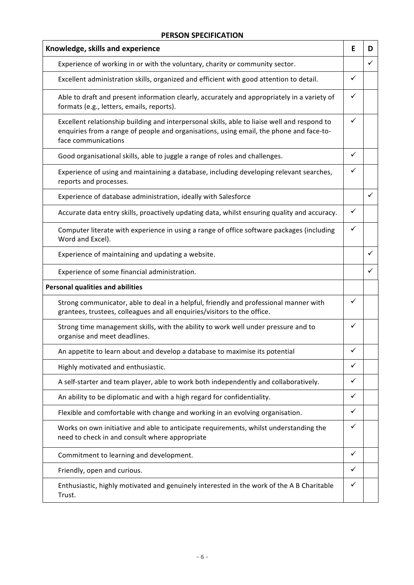#### **PERSON SPECIFICATION**

| Knowledge, skills and experience                                                                                                                                                                               |   | D |
|----------------------------------------------------------------------------------------------------------------------------------------------------------------------------------------------------------------|---|---|
| Experience of working in or with the voluntary, charity or community sector.                                                                                                                                   |   | ✓ |
| Excellent administration skills, organized and efficient with good attention to detail.                                                                                                                        |   |   |
| Able to draft and present information clearly, accurately and appropriately in a variety of<br>formats (e.g., letters, emails, reports).                                                                       |   |   |
| Excellent relationship building and interpersonal skills, able to liaise well and respond to<br>enquiries from a range of people and organisations, using email, the phone and face-to-<br>face communications |   |   |
| Good organisational skills, able to juggle a range of roles and challenges.                                                                                                                                    | ✓ |   |
| Experience of using and maintaining a database, including developing relevant searches,<br>reports and processes.                                                                                              |   |   |
| Experience of database administration, ideally with Salesforce                                                                                                                                                 |   |   |
| Accurate data entry skills, proactively updating data, whilst ensuring quality and accuracy.                                                                                                                   | ✓ |   |
| Computer literate with experience in using a range of office software packages (including<br>Word and Excel).                                                                                                  |   |   |
| Experience of maintaining and updating a website.                                                                                                                                                              |   |   |
| Experience of some financial administration.                                                                                                                                                                   |   |   |
| <b>Personal qualities and abilities</b>                                                                                                                                                                        |   |   |
| Strong communicator, able to deal in a helpful, friendly and professional manner with<br>grantees, trustees, colleagues and all enquiries/visitors to the office.                                              | ✓ |   |
| Strong time management skills, with the ability to work well under pressure and to<br>organise and meet deadlines.                                                                                             |   |   |
| An appetite to learn about and develop a database to maximise its potential                                                                                                                                    |   |   |
| Highly motivated and enthusiastic.                                                                                                                                                                             |   |   |
| A self-starter and team player, able to work both independently and collaboratively.                                                                                                                           |   |   |
| An ability to be diplomatic and with a high regard for confidentiality.                                                                                                                                        |   |   |
| Flexible and comfortable with change and working in an evolving organisation.                                                                                                                                  |   |   |
| Works on own initiative and able to anticipate requirements, whilst understanding the<br>need to check in and consult where appropriate                                                                        |   |   |
| Commitment to learning and development.                                                                                                                                                                        |   |   |
| Friendly, open and curious.                                                                                                                                                                                    |   |   |
| Enthusiastic, highly motivated and genuinely interested in the work of the A B Charitable<br>Trust.                                                                                                            |   |   |